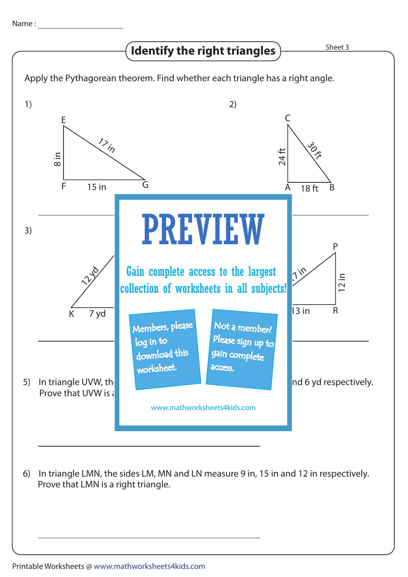